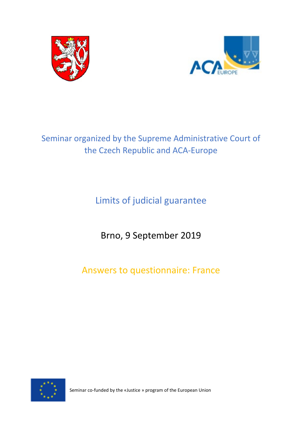



# Seminar organized by the Supreme Administrative Court of the Czech Republic and ACA-Europe

Limits of judicial guarantee

Brno, 9 September 2019

Answers to questionnaire: France



Seminar co-funded by the «Justice » program of the European Union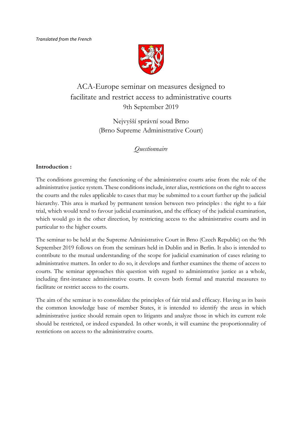

# ACA-Europe seminar on measures designed to facilitate and restrict access to administrative courts 9th September 2019

Nejvyšší správní soud Brno (Brno Supreme Administrative Court)

*Questionnaire* 

## **Introduction :**

The conditions governing the functioning of the administrative courts arise from the role of the administrative justice system. These conditions include, inter alias, restrictions on the right to access the courts and the rules applicable to cases that may be submitted to a court further up the judicial hierarchy. This area is marked by permanent tension between two principles : the right to a fair trial, which would tend to favour judicial examination, and the efficacy of the judicial examination, which would go in the other direction, by restricting access to the administrative courts and in particular to the higher courts.

The seminar to be held at the Supreme Administrative Court in Brno (Czech Republic) on the 9th September 2019 follows on from the seminars held in Dublin and in Berlin. It also is intended to contribute to the mutual understanding of the scope for judicial examination of cases relating to administrative matters. In order to do so, it develops and further examines the theme of access to courts. The seminar approaches this question with regard to administrative justice as a whole, including first-instance administrative courts. It covers both formal and material measures to facilitate or restrict access to the courts.

The aim of the seminar is to consolidate the principles of fair trial and efficacy. Having as its basis the common knowledge base of member States, it is intended to identify the areas in which administrative justice should remain open to litigants and analyze those in which its current role should be restricted, or indeed expanded. In other words, it will examine the proportionnality of restrictions on access to the administrative courts.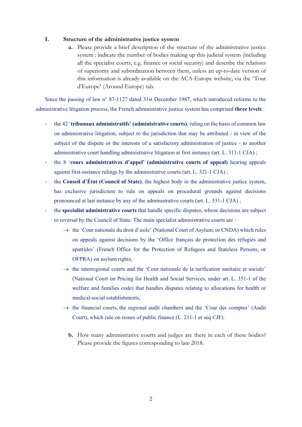#### **I. Structure of the administrative justice system**

**a.** Please provide a brief description of the structure of the administrative justice system : indicate the number of bodies making up this judicial system (including all the specialist courts, e.g. finance or social security) and describe the relations of superiority and subordination between them, unless an up-to-date version of this information is already available on the ACA-Europe website, via the 'Tour d'Europe**'** (Around Europe) tab.

Since the passing of law n° 87-1127 dated 31st December 1987, which introduced reforms to the administrative litigation process, the French administrative justice system has comprised **three levels** :

- the 42 '**tribunaux administratifs' (administrative courts)**, ruling on the basis of common law on administrative litigation, subject to the jurisdiction that may be attributed - in view of the subject of the dispute or the interests of a satisfactory administration of justice - to another administrative court handling administrative litigation at first instance (art. L. 311-1 CJA) ;
- the 8 '**cours administratives d'appel' (administrative courts of appeal)** hearing appeals against first-instance rulings by the administrative courts (art. L. 321-1 CJA) ;
- the **Conseil d'État (Council of State)**, the highest body in the administrative justice system, has exclusive jurisdiction to rule on appeals on procedural grounds against decisions pronounced at last instance by any of the administrative courts (art. L. 331-1 CJA) ;
- the **specialist administrative courts** that handle specific disputes, whose decisions are subject to reversal by the Council of State. The main specialist administrative courts are :
	- $\rightarrow$  the 'Cour nationale du droit d'asile' (National Court of Asylum, or CNDA) which rules on appeals against decisions by the 'Office français de protection des réfugiés and apatrides' (French Office for the Protection of Refugees and Stateless Persons, or OFPRA) on asylum rights,
	- $\rightarrow$  the interregional courts and the 'Cour nationale de la tarification sanitaire et sociale' (National Court on Pricing for Health and Social Services, under art. L. 351-1 of the welfare and families code) that handles disputes relating to allocations for health or medical-social establishments,
	- $\rightarrow$  the financial courts, the regional audit chambers and the 'Cour des comptes' (Audit Court), which rule on issues of public finance (L. 211-1 et seq CJF).
		- **b.** How many administrative courts and judges are there in each of these bodies? Please provide the figures corresponding to late 2018.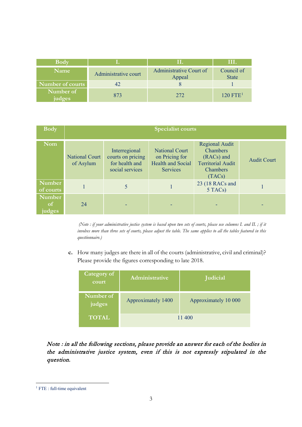| <b>Body</b>         |                      |                                   | HL.                        |
|---------------------|----------------------|-----------------------------------|----------------------------|
| <b>Name</b>         | Administrative court | Administrative Court of<br>Appeal | Council of<br><b>State</b> |
| Number of courts    | 42                   |                                   |                            |
| Number of<br>judges | 873                  | 272                               | $120$ FTE <sup>1</sup>     |

| <b>Body</b>                       | <b>Specialist courts</b>           |                                                                         |                                                                                        |                                                                                                          |                    |
|-----------------------------------|------------------------------------|-------------------------------------------------------------------------|----------------------------------------------------------------------------------------|----------------------------------------------------------------------------------------------------------|--------------------|
| <b>Nom</b>                        | <b>National Court</b><br>of Asylum | Interregional<br>courts on pricing<br>for health and<br>social services | <b>National Court</b><br>on Pricing for<br><b>Health and Social</b><br><b>Services</b> | <b>Regional Audit</b><br>Chambers<br>(RACs) and<br><b>Territorial Audit</b><br><b>Chambers</b><br>(TACs) | <b>Audit Court</b> |
| Number<br>of courts               |                                    | 5                                                                       |                                                                                        | 23 (18 RACs and<br>5 TACs)                                                                               |                    |
| Number<br><sub>of</sub><br>judges | 24                                 |                                                                         |                                                                                        |                                                                                                          |                    |

*(Note : if your administrative justice system is based upon two sets of courts, please use columns I. and II. ; if it involves more than three sets of courts, please adjust the table. The same applies to all the tables featured in this questionnaire.)*

**c.** How many judges are there in all of the courts (administrative, civil and criminal)? Please provide the figures corresponding to late 2018.

| Category of<br>court | Administrative     | <b>Judicial</b>      |  |
|----------------------|--------------------|----------------------|--|
| Number of<br>judges  | Approximately 1400 | Approximately 10 000 |  |
| <b>TOTAL</b>         | 11 400             |                      |  |

Note : in all the following sections, please provide an answer for each of the bodies in the administrative justice system, even if this is not expressly stipulated in the question.

 $\overline{a}$ 

<span id="page-3-0"></span><sup>&</sup>lt;sup>1</sup> FTE : full-time equivalent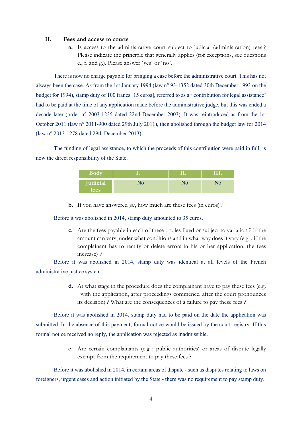#### **II. Fees and access to courts**

**a.** Is access to the administrative court subject to judicial (administration) fees ? Please indicate the principle that generally applies (for exceptions, see questions e., f. and g.). Please answer 'yes' or 'no'.

There is now no charge payable for bringing a case before the administrative court. This has not always been the case. As from the 1st January 1994 (law n° 93-1352 dated 30th December 1993 on the budget for 1994), stamp duty of 100 francs [15 euros], referred to as a ' contribution for legal assistance' had to be paid at the time of any application made before the administrative judge, but this was ended a decade later (order n° 2003-1235 dated 22nd December 2003). It was reintroduced as from the 1st October 2011 (law n° 2011-900 dated 29th July 2011), then abolished through the budget law for 2014 (law n° 2013-1278 dated 29th December 2013).

The funding of legal assistance, to which the proceeds of this contribution were paid in full, is now the direct responsibility of the State.

| Body                           |    | TR |
|--------------------------------|----|----|
| <b>Judicial</b><br><b>fees</b> | NО |    |

**b.** If you have answered *yes*, how much are these fees (in euros) ?

Before it was abolished in 2014, stamp duty amounted to 35 euros.

**c.** Are the fees payable in each of these bodies fixed or subject to variation ? If the amount can vary, under what conditions and in what way does it vary (e.g. : if the complainant has to rectify or delete errors in his or her application, the fees increase) ?

Before it was abolished in 2014, stamp duty was identical at all levels of the French administrative justice system.

> **d.** At what stage in the procedure does the complainant have to pay these fees (e.g. : with the application, after proceedings commence, after the court pronounces its decision) ? What are the consequences of a failure to pay these fees ?

Before it was abolished in 2014, stamp duty had to be paid on the date the application was submitted. In the absence of this payment, formal notice would be issued by the court registry. If this formal notice received no reply, the application was rejected as inadmissible.

> **e.** Are certain complainants (e.g. : public authorities) or areas of dispute legally exempt from the requirement to pay these fees ?

Before it was abolished in 2014, in certain areas of dispute - such as disputes relating to laws on foreigners, urgent cases and action initiated by the State - there was no requirement to pay stamp duty.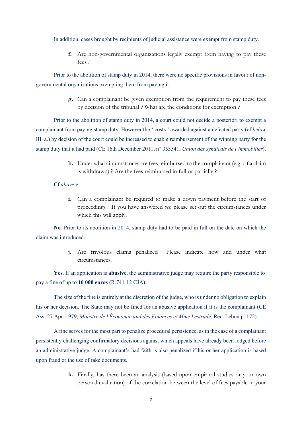In addition, cases brought by recipients of judicial assistance were exempt from stamp duty.

**f.** Are non-governmental organizations legally exempt from having to pay these fees ?

Prior to the abolition of stamp duty in 2014, there were no specific provisions in favour of nongovernmental organizations exempting them from paying it.

> **g.** Can a complainant be given exemption from the requirement to pay these fees by decision of the tribunal ? What are the conditions for exemption ?

Prior to the abolition of stamp duty in 2014, a court could not decide a posteriori to exempt a complainant from paying stamp duty. However the ' costs ' awarded against a defeated party (cf *below* III. a.) by decision of the court could be increased to enable reimbursement of the winning party for the stamp duty that it had paid (CE 16th December 2011, n° 353541, *Union des syndicats de l'immobilier*).

> **h.** Under what circumstances are fees reimbursed to the complainant (e.g. : if a claim is withdrawn) ? Are the fees reimbursed in full or partially ?

#### Cf *above* g.

**i.** Can a complainant be required to make a down payment before the start of proceedings ? If you have answered *yes*, please set out the circumstances under which this will apply.

**No**. Prior to its abolition in 2014, stamp duty had to be paid in full on the date on which the claim was introduced.

> **j.** Are frivolous claims penalized ? Please indicate how and under what circumstances.

**Yes**. If an application is **abusive**, the administrative judge may require the party responsible to pay a fine of up to **10 000 euros** (R.741-12 CJA).

The size of the fine is entirely at the discretion of the judge, who is under no obligation to explain his or her decision. The State may not be fined for an abusive application if it is the complainant (CE Ass. 27 Apr. 1979, *Ministre de l'Économie and des Finances c/ Mme Lestrade*, Rec. Lebon p. 172).

A fine serves for the most part to penalize procedural persistence, as in the case of a complainant persistently challenging confirmatory decisions against which appeals have already been lodged before an administrative judge. A complainant's bad faith is also penalized if his or her application is based upon fraud or the use of fake documents.

> **k.** Finally, has there been an analysis (based upon empirical studies or your own personal evaluation) of the correlation between the level of fees payable in your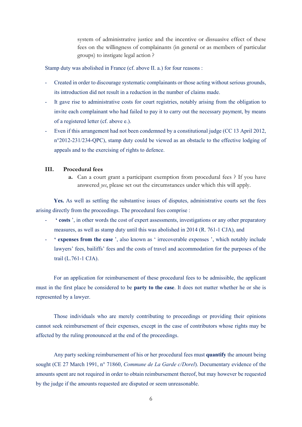system of administrative justice and the incentive or dissuasive effect of these fees on the willingness of complainants (in general or as members of particular groups) to instigate legal action ?

Stamp duty was abolished in France (cf. above II. a.) for four reasons :

- Created in order to discourage systematic complainants or those acting without serious grounds, its introduction did not result in a reduction in the number of claims made.
- It gave rise to administrative costs for court registries, notably arising from the obligation to invite each complainant who had failed to pay it to carry out the necessary payment, by means of a registered letter (cf. above e.).
- Even if this arrangement had not been condemned by a constitutional judge (CC 13 April 2012, n°2012-231/234-QPC), stamp duty could be viewed as an obstacle to the effective lodging of appeals and to the exercising of rights to defence.

#### **III. Procedural fees**

**a.** Can a court grant a participant exemption from procedural fees ? If you have answered *yes*, please set out the circumstances under which this will apply.

**Yes.** As well as settling the substantive issues of disputes, administrative courts set the fees arising directly from the proceedings. The procedural fees comprise :

- **' costs** ', in other words the cost of expert assessments, investigations or any other preparatory measures, as well as stamp duty until this was abolished in 2014 (R. 761-1 CJA), and
- **' expenses from the case** ', also known as ' irrecoverable expenses ', which notably include lawyers' fees, bailiffs' fees and the costs of travel and accommodation for the purposes of the trail (L.761-1 CJA).

For an application for reimbursement of these procedural fees to be admissible, the applicant must in the first place be considered to be **party to the case**. It does not matter whether he or she is represented by a lawyer.

Those individuals who are merely contributing to proceedings or providing their opinions cannot seek reimbursement of their expenses, except in the case of contributors whose rights may be affected by the ruling pronounced at the end of the proceedings.

Any party seeking reimbursement of his or her procedural fees must **quantify** the amount being sought (CE 27 March 1991, n° 71860, *Commune de La Garde c/Dorel*). Documentary evidence of the amounts spent are not required in order to obtain reimbursement thereof, but may however be requested by the judge if the amounts requested are disputed or seem unreasonable.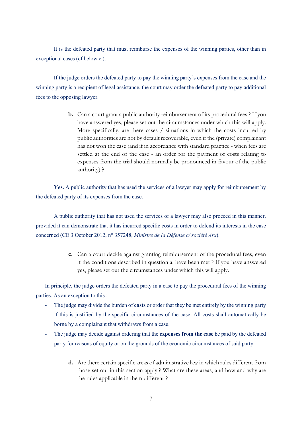It is the defeated party that must reimburse the expenses of the winning parties, other than in exceptional cases (cf below c.).

If the judge orders the defeated party to pay the winning party's expenses from the case and the winning party is a recipient of legal assistance, the court may order the defeated party to pay additional fees to the opposing lawyer.

> **b.** Can a court grant a public authority reimbursement of its procedural fees ? If you have answered yes, please set out the circumstances under which this will apply. More specifically, are there cases / situations in which the costs incurred by public authorities are not by default recoverable, even if the (private) complainant has not won the case (and if in accordance with standard practice - when fees are settled at the end of the case - an order for the payment of costs relating to expenses from the trial should normally be pronounced in favour of the public authority) ?

Yes. A public authority that has used the services of a lawyer may apply for reimbursement by the defeated party of its expenses from the case.

A public authority that has not used the services of a lawyer may also proceed in this manner, provided it can demonstrate that it has incurred specific costs in order to defend its interests in the case concerned (CE 3 October 2012, n° 357248, *Ministre de la Défense c/ société Arx*).

> **c.** Can a court decide against granting reimbursement of the procedural fees, even if the conditions described in question a. have been met ? If you have answered yes, please set out the circumstances under which this will apply.

In principle, the judge orders the defeated party in a case to pay the procedural fees of the winning parties. As an exception to this :

- The judge may divide the burden of **costs** or order that they be met entirely by the winning party if this is justified by the specific circumstances of the case. All costs shall automatically be borne by a complainant that withdraws from a case.
- The judge may decide against ordering that the **expenses from the case** be paid by the defeated party for reasons of equity or on the grounds of the economic circumstances of said party.
	- **d.** Are there certain specific areas of administrative law in which rules different from those set out in this section apply ? What are these areas, and how and why are the rules applicable in them different ?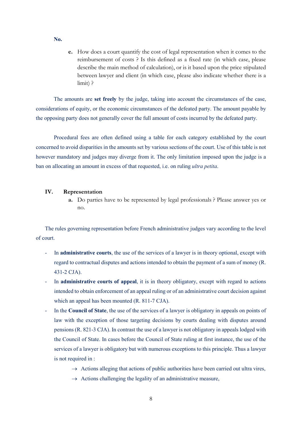**No.**

**e.** How does a court quantify the cost of legal representation when it comes to the reimbursement of costs ? Is this defined as a fixed rate (in which case, please describe the main method of calculation), or is it based upon the price stipulated between lawyer and client (in which case, please also indicate whether there is a limit) ?

The amounts are **set freely** by the judge, taking into account the circumstances of the case, considerations of equity, or the economic circumstances of the defeated party. The amount payable by the opposing party does not generally cover the full amount of costs incurred by the defeated party.

Procedural fees are often defined using a table for each category established by the court concerned to avoid disparities in the amounts set by various sections of the court. Use of this table is not however mandatory and judges may diverge from it. The only limitation imposed upon the judge is a ban on allocating an amount in excess of that requested, i.e. on ruling *ultra petita*.

#### **IV. Representation**

**a.** Do parties have to be represented by legal professionals ? Please answer yes or no.

The rules governing representation before French administrative judges vary according to the level of court.

- In **administrative courts**, the use of the services of a lawyer is in theory optional, except with regard to contractual disputes and actions intended to obtain the payment of a sum of money (R. 431-2 CJA).
- In **administrative courts of appeal**, it is in theory obligatory, except with regard to actions intended to obtain enforcement of an appeal ruling or of an administrative court decision against which an appeal has been mounted (R. 811-7 CJA).
- In the **Council of State**, the use of the services of a lawyer is obligatory in appeals on points of law with the exception of those targeting decisions by courts dealing with disputes around pensions (R. 821-3 CJA). In contrast the use of a lawyer is not obligatory in appeals lodged with the Council of State. In cases before the Council of State ruling at first instance, the use of the services of a lawyer is obligatory but with numerous exceptions to this principle. Thus a lawyer is not required in :
	- $\rightarrow$  Actions alleging that actions of public authorities have been carried out ultra vires,
	- $\rightarrow$  Actions challenging the legality of an administrative measure,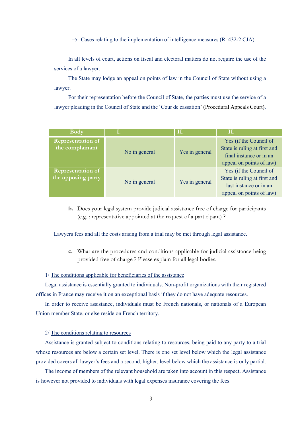$\rightarrow$  Cases relating to the implementation of intelligence measures (R. 432-2 CJA).

In all levels of court, actions on fiscal and electoral matters do not require the use of the services of a lawyer.

The State may lodge an appeal on points of law in the Council of State without using a lawyer.

For their representation before the Council of State, the parties must use the service of a lawyer pleading in the Council of State and the 'Cour de cassation' (Procedural Appeals Court).

| <b>Body</b>                                    | Ι.            | II.            | II.                                                                                                           |
|------------------------------------------------|---------------|----------------|---------------------------------------------------------------------------------------------------------------|
| <b>Representation of</b><br>the complainant    | No in general | Yes in general | Yes (if the Council of<br>State is ruling at first and<br>final instance or in an<br>appeal on points of law) |
| <b>Representation of</b><br>the opposing party | No in general | Yes in general | Yes (if the Council of<br>State is ruling at first and<br>last instance or in an<br>appeal on points of law)  |

**b.** Does your legal system provide judicial assistance free of charge for participants (e.g. : representative appointed at the request of a participant) ?

Lawyers fees and all the costs arising from a trial may be met through legal assistance.

**c.** What are the procedures and conditions applicable for judicial assistance being provided free of charge ? Please explain for all legal bodies.

#### 1/ The conditions applicable for beneficiaries of the assistance

Legal assistance is essentially granted to individuals. Non-profit organizations with their registered offices in France may receive it on an exceptional basis if they do not have adequate resources.

In order to receive assistance, individuals must be French nationals, or nationals of a European Union member State, or else reside on French territory.

#### 2/ The conditions relating to resources

Assistance is granted subject to conditions relating to resources, being paid to any party to a trial whose resources are below a certain set level. There is one set level below which the legal assistance provided covers all lawyer's fees and a second, higher, level below which the assistance is only partial.

The income of members of the relevant household are taken into account in this respect. Assistance is however not provided to individuals with legal expenses insurance covering the fees.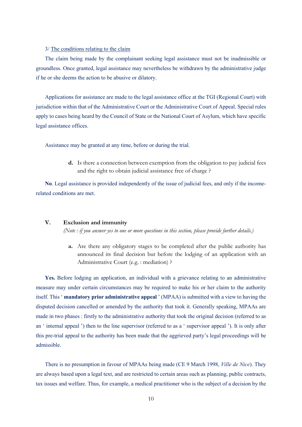#### 3/ The conditions relating to the claim

The claim being made by the complainant seeking legal assistance must not be inadmissible or groundless. Once granted, legal assistance may nevertheless be withdrawn by the administrative judge if he or she deems the action to be abusive or dilatory.

Applications for assistance are made to the legal assistance office at the TGI (Regional Court) with jurisdiction within that of the Administrative Court or the Administrative Court of Appeal. Special rules apply to cases being heard by the Council of State or the National Court of Asylum, which have specific legal assistance offices.

Assistance may be granted at any time, before or during the trial.

**d.** Is there a connection between exemption from the obligation to pay judicial fees and the right to obtain judicial assistance free of charge ?

**No**. Legal assistance is provided independently of the issue of judicial fees, and only if the incomerelated conditions are met.

#### **V. Exclusion and immunity**

*(Note : if you answer yes to one or more questions in this section, please provide further details.)*

**a.** Are there any obligatory stages to be completed after the public authority has announced its final decision but before the lodging of an application with an Administrative Court (e.g. : mediation) ?

**Yes.** Before lodging an application, an individual with a grievance relating to an administrative measure may under certain circumstances may be required to make his or her claim to the authority itself. This ' **mandatory prior administrative appeal** ' (MPAA) is submitted with a view to having the disputed decision cancelled or amended by the authority that took it. Generally speaking, MPAAs are made in two phases : firstly to the administrative authority that took the original decision (referred to as an ' internal appeal ') then to the line supervisor (referred to as a ' supervisor appeal '). It is only after this pre-trial appeal to the authority has been made that the aggrieved party's legal proceedings will be admissible.

There is no presumption in favour of MPAAs being made (CE 9 March 1998, *Ville de Nice*). They are always based upon a legal text, and are restricted to certain areas such as planning, public contracts, tax issues and welfare. Thus, for example, a medical practitioner who is the subject of a decision by the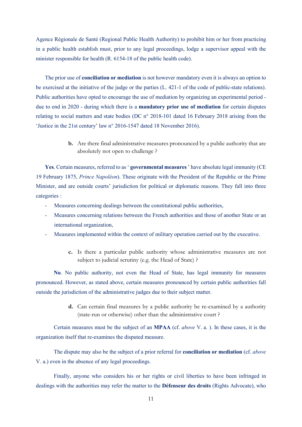Agence Régionale de Santé (Regional Public Health Authority) to prohibit him or her from practicing in a public health establish must, prior to any legal proceedings, lodge a supervisor appeal with the minister responsible for health (R. 6154-18 of the public health code).

The prior use of **conciliation or mediation** is not however mandatory even it is always an option to be exercised at the initiative of the judge or the parties (L. 421-1 of the code of public-state relations). Public authorities have opted to encourage the use of mediation by organizing an experimental period due to end in 2020 - during which there is a **mandatory prior use of mediation** for certain disputes relating to social matters and state bodies (DC n° 2018-101 dated 16 February 2018 arising from the 'Justice in the 21st century' law n° 2016-1547 dated 18 November 2016).

> **b.** Are there final administrative measures pronounced by a public authority that are absolutely not open to challenge ?

**Yes**. Certain measures, referred to as ' **governmental measures** ' have absolute legal immunity (CE 19 February 1875, *Prince Napoléon*). These originate with the President of the Republic or the Prime Minister, and are outside courts' jurisdiction for political or diplomatic reasons. They fall into three categories :

- Measures concerning dealings between the constitutional public authorities,
- Measures concerning relations between the French authorities and those of another State or an international organization,
- Measures implemented within the context of military operation carried out by the executive.
	- **c.** Is there a particular public authority whose administrative measures are not subject to judicial scrutiny (e.g. the Head of State) ?

**No**. No public authority, not even the Head of State, has legal immunity for measures pronounced. However, as stated above, certain measures pronounced by certain public authorities fall outside the jurisdiction of the administrative judges due to their subject matter.

> **d.** Can certain final measures by a public authority be re-examined by a authority (state-run or otherwise) other than the administrative court ?

Certain measures must be the subject of an **MPAA** (cf. *above* V. a. ). In these cases, it is the organization itself that re-examines the disputed measure.

The dispute may also be the subject of a prior referral for **conciliation or mediation** (cf. *above* V. a.) even in the absence of any legal proceedings.

Finally, anyone who considers his or her rights or civil liberties to have been infringed in dealings with the authorities may refer the matter to the **Défenseur des droits** (Rights Advocate), who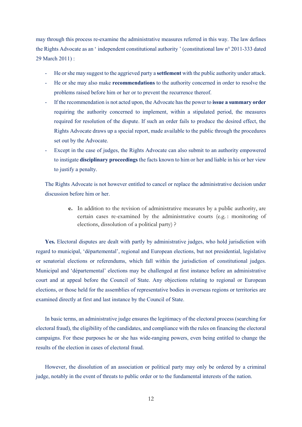may through this process re-examine the administrative measures referred in this way. The law defines the Rights Advocate as an ' independent constitutional authority ' (constitutional law n° 2011-333 dated 29 March 2011) :

- He or she may suggest to the aggrieved party a **settlement** with the public authority under attack.
- He or she may also make **recommendations** to the authority concerned in order to resolve the problems raised before him or her or to prevent the recurrence thereof.
- If the recommendation is not acted upon, the Advocate has the power to **issue a summary order** requiring the authority concerned to implement, within a stipulated period, the measures required for resolution of the dispute. If such an order fails to produce the desired effect, the Rights Advocate draws up a special report, made available to the public through the procedures set out by the Advocate.
- Except in the case of judges, the Rights Advocate can also submit to an authority empowered to instigate **disciplinary proceedings** the facts known to him or her and liable in his or her view to justify a penalty.

The Rights Advocate is not however entitled to cancel or replace the administrative decision under discussion before him or her.

> **e.** In addition to the revision of administrative measures by a public authority, are certain cases re-examined by the administrative courts (e.g. : monitoring of elections, dissolution of a political party) ?

**Yes.** Electoral disputes are dealt with partly by administrative judges, who hold jurisdiction with regard to municipal, 'départemental', regional and European elections, but not presidential, legislative or senatorial elections or referendums, which fall within the jurisdiction of constitutional judges. Municipal and 'départemental' elections may be challenged at first instance before an administrative court and at appeal before the Council of State. Any objections relating to regional or European elections, or those held for the assemblies of representative bodies in overseas regions or territories are examined directly at first and last instance by the Council of State.

In basic terms, an administrative judge ensures the legitimacy of the electoral process (searching for electoral fraud), the eligibility of the candidates, and compliance with the rules on financing the electoral campaigns. For these purposes he or she has wide-ranging powers, even being entitled to change the results of the election in cases of electoral fraud.

However, the dissolution of an association or political party may only be ordered by a criminal judge, notably in the event of threats to public order or to the fundamental interests of the nation.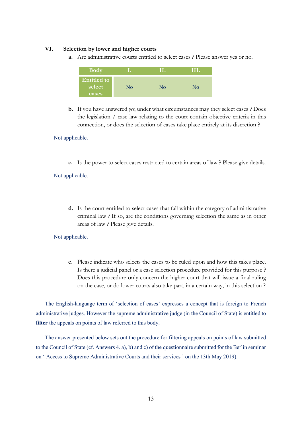#### **VI. Selection by lower and higher courts**

**a.** Are administrative courts entitled to select cases ? Please answer yes or no.



**b.** If you have answered *yes*, under what circumstances may they select cases ? Does the legislation / case law relating to the court contain objective criteria in this connection, or does the selection of cases take place entirely at its discretion ?

#### Not applicable.

**c.** Is the power to select cases restricted to certain areas of law ? Please give details.

#### Not applicable.

**d.** Is the court entitled to select cases that fall within the category of administrative criminal law ? If so, are the conditions governing selection the same as in other areas of law ? Please give details.

#### Not applicable.

**e.** Please indicate who selects the cases to be ruled upon and how this takes place. Is there a judicial panel or a case selection procedure provided for this purpose ? Does this procedure only concern the higher court that will issue a final ruling on the case, or do lower courts also take part, in a certain way, in this selection ?

The English-language term of 'selection of cases' expresses a concept that is foreign to French administrative judges. However the supreme administrative judge (in the Council of State) is entitled to **filter** the appeals on points of law referred to this body.

The answer presented below sets out the procedure for filtering appeals on points of law submitted to the Council of State (cf. Answers 4. a), b) and c) of the questionnaire submitted for the Berlin seminar on ' Access to Supreme Administrative Courts and their services ' on the 13th May 2019).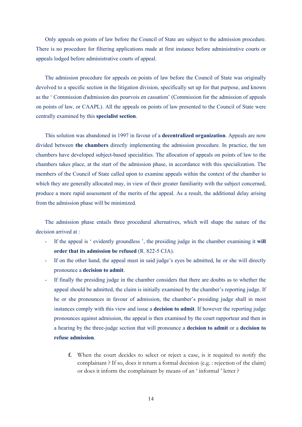Only appeals on points of law before the Council of State are subject to the admission procedure. There is no procedure for filtering applications made at first instance before administrative courts or appeals lodged before administrative courts of appeal.

The admission procedure for appeals on points of law before the Council of State was originally devolved to a specific section in the litigation division, specifically set up for that purpose, and known as the ' Commission d'admission des pourvois en cassation' (Commission for the admission of appeals on points of law, or CAAPL). All the appeals on points of law presented to the Council of State were centrally examined by this **specialist section**.

This solution was abandoned in 1997 in favour of a **decentralized organization**. Appeals are now divided between **the chambers** directly implementing the admission procedure. In practice, the ten chambers have developed subject-based specialities. The allocation of appeals on points of law to the chambers takes place, at the start of the admission phase, in accordance with this specialization. The members of the Council of State called upon to examine appeals within the context of the chamber to which they are generally allocated may, in view of their greater familiarity with the subject concerned, produce a more rapid assessment of the merits of the appeal. As a result, the additional delay arising from the admission phase will be minimized.

The admission phase entails three procedural alternatives, which will shape the nature of the decision arrived at :

- If the appeal is ' evidently groundless ', the presiding judge in the chamber examining it **will order that its admission be refused** (R. 822-5 CJA).
- If on the other hand, the appeal must in said judge's eyes be admitted, he or she will directly pronounce a **decision to admit**.
- If finally the presiding judge in the chamber considers that there are doubts as to whether the appeal should be admitted, the claim is initially examined by the chamber's reporting judge. If he or she pronounces in favour of admission, the chamber's presiding judge shall in most instances comply with this view and issue a **decision to admit**. If however the reporting judge pronounces against admission, the appeal is then examined by the court rapporteur and then in a hearing by the three-judge section that will pronounce a **decision to admit** or a **decision to refuse admission**.
	- **f.** When the court decides to select or reject a case, is it required to notify the complainant ? If so, does it return a formal decision (e.g. : rejection of the claim) or does it inform the complainant by means of an ' informal ' letter ?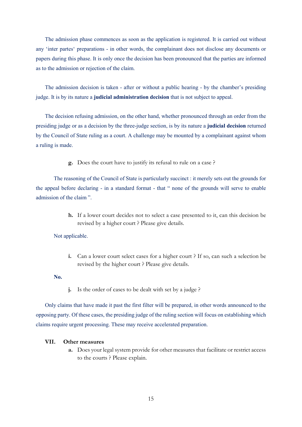The admission phase commences as soon as the application is registered. It is carried out without any 'inter partes' preparations - in other words, the complainant does not disclose any documents or papers during this phase. It is only once the decision has been pronounced that the parties are informed as to the admission or rejection of the claim.

The admission decision is taken - after or without a public hearing - by the chamber's presiding judge. It is by its nature a **judicial administration decision** that is not subject to appeal.

The decision refusing admission, on the other hand, whether pronounced through an order from the presiding judge or as a decision by the three-judge section, is by its nature a **judicial decision** returned by the Council of State ruling as a court. A challenge may be mounted by a complainant against whom a ruling is made.

**g.** Does the court have to justify its refusal to rule on a case ?

The reasoning of the Council of State is particularly succinct : it merely sets out the grounds for the appeal before declaring - in a standard format - that " none of the grounds will serve to enable admission of the claim ".

> **h.** If a lower court decides not to select a case presented to it, can this decision be revised by a higher court ? Please give details.

#### Not applicable.

**i.** Can a lower court select cases for a higher court ? If so, can such a selection be revised by the higher court ? Please give details.

#### **No.**

**j.** Is the order of cases to be dealt with set by a judge ?

Only claims that have made it past the first filter will be prepared, in other words announced to the opposing party. Of these cases, the presiding judge of the ruling section will focus on establishing which claims require urgent processing. These may receive accelerated preparation.

#### **VII. Other measures**

**a.** Does your legal system provide for other measures that facilitate or restrict access to the courts ? Please explain.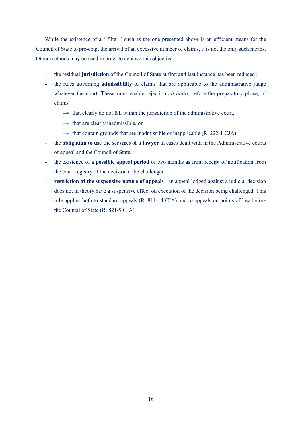While the existence of a ' filter ' such as the one presented above is an efficient means for the Council of State to pre-empt the arrival of an excessive number of claims, it is not the only such means. Other methods may be used in order to achieve this objective :

- the residual **jurisdiction** of the Council of State at first and last instance has been reduced ;
- the rules governing **admissibility** of claims that are applicable to the administrative judge whatever the court. These rules enable rejection *ab initio*, before the preparatory phase, of claims :
	- $\rightarrow$  that clearly do not fall within the jurisdiction of the administrative court,
	- $\rightarrow$  that are clearly inadmissible, or
	- $\rightarrow$  that contain grounds that are inadmissible or inapplicable (R. 222-1 CJA).
- the **obligation to use the services of a lawyer** in cases dealt with in the Administrative courts of appeal and the Council of State,
- the existence of a **possible appeal period** of two months as from receipt of notification from the court registry of the decision to be challenged.
- **restriction of the suspensive nature of appeals** : an appeal lodged against a judicial decision does not in theory have a suspensive effect on execution of the decision being challenged. This rule applies both to standard appeals (R. 811-14 CJA) and to appeals on points of law before the Council of State (R. 821-5 CJA).